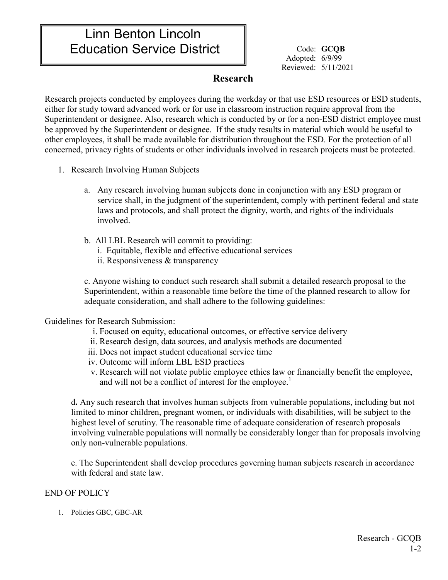# Linn Benton Lincoln Education Service District  $\parallel$  Code: GCQB

Adopted: 6/9/99 Reviewed: 5/11/2021

## **Research**

Research projects conducted by employees during the workday or that use ESD resources or ESD students, either for study toward advanced work or for use in classroom instruction require approval from the Superintendent or designee. Also, research which is conducted by or for a non-ESD district employee must be approved by the Superintendent or designee. If the study results in material which would be useful to other employees, it shall be made available for distribution throughout the ESD. For the protection of all concerned, privacy rights of students or other individuals involved in research projects must be protected.

- 1. Research Involving Human Subjects
	- a. Any research involving human subjects done in conjunction with any ESD program or service shall, in the judgment of the superintendent, comply with pertinent federal and state laws and protocols, and shall protect the dignity, worth, and rights of the individuals involved.
	- b. All LBL Research will commit to providing: i. Equitable, flexible and effective educational services
		- ii. Responsiveness & transparency

c. Anyone wishing to conduct such research shall submit a detailed research proposal to the Superintendent, within a reasonable time before the time of the planned research to allow for adequate consideration, and shall adhere to the following guidelines:

### Guidelines for Research Submission:

- i. Focused on equity, educational outcomes, or effective service delivery
- ii. Research design, data sources, and analysis methods are documented
- iii. Does not impact student educational service time
- iv. Outcome will inform LBL ESD practices
- v. Research will not violate public employee ethics law or financially benefit the employee, and will not be a conflict of interest for the employee.<sup>1</sup>

d**.** Any such research that involves human subjects from vulnerable populations, including but not limited to minor children, pregnant women, or individuals with disabilities, will be subject to the highest level of scrutiny. The reasonable time of adequate consideration of research proposals involving vulnerable populations will normally be considerably longer than for proposals involving only non-vulnerable populations.

e. The Superintendent shall develop procedures governing human subjects research in accordance with federal and state law.

### END OF POLICY

1. Policies GBC, GBC-AR